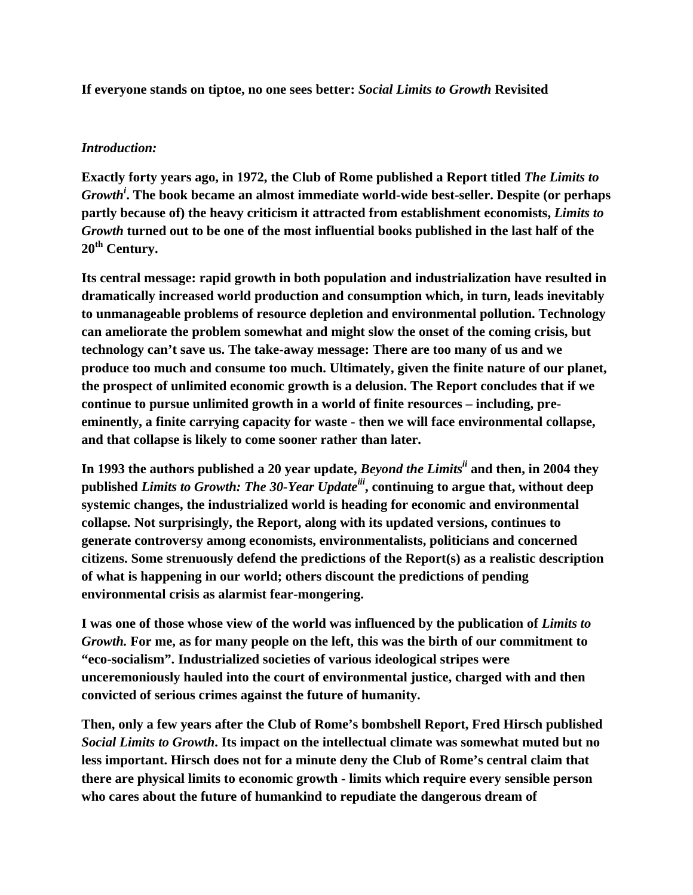**If everyone stands on tiptoe, no one sees better:** *Social Limits to Growth* **Revisited** 

#### *Introduction:*

**Exactly forty years ago, in 1972, the Club of Rome published a Report titled** *The Limits to Growthi* **. The book became an almost immediate world-wide best-seller. Despite (or perhaps partly because of) the heavy criticism it attracted from establishment economists,** *Limits to Growth* **turned out to be one of the most influential books published in the last half of the**  20<sup>th</sup> Century.

**Its central message: rapid growth in both population and industrialization have resulted in dramatically increased world production and consumption which, in turn, leads inevitably to unmanageable problems of resource depletion and environmental pollution. Technology can ameliorate the problem somewhat and might slow the onset of the coming crisis, but technology can't save us. The take-away message: There are too many of us and we produce too much and consume too much. Ultimately, given the finite nature of our planet, the prospect of unlimited economic growth is a delusion. The Report concludes that if we continue to pursue unlimited growth in a world of finite resources – including, preeminently, a finite carrying capacity for waste - then we will face environmental collapse, and that collapse is likely to come sooner rather than later.** 

**In 1993 the authors published a 20 year update,** *Beyond the Limitsii* **and then, in 2004 they published** *Limits to Growth: The 30-Year Updateiii***, continuing to argue that, without deep systemic changes, the industrialized world is heading for economic and environmental collapse***.* **Not surprisingly, the Report, along with its updated versions, continues to generate controversy among economists, environmentalists, politicians and concerned citizens. Some strenuously defend the predictions of the Report(s) as a realistic description of what is happening in our world; others discount the predictions of pending environmental crisis as alarmist fear-mongering.** 

I was one of those whose view of the world was influenced by the publication of *Limits to Growth.* **For me, as for many people on the left, this was the birth of our commitment to "eco-socialism". Industrialized societies of various ideological stripes were unceremoniously hauled into the court of environmental justice, charged with and then convicted of serious crimes against the future of humanity.** 

**Then, only a few years after the Club of Rome's bombshell Report, Fred Hirsch published**  *Social Limits to Growth***. Its impact on the intellectual climate was somewhat muted but no less important. Hirsch does not for a minute deny the Club of Rome's central claim that there are physical limits to economic growth - limits which require every sensible person who cares about the future of humankind to repudiate the dangerous dream of**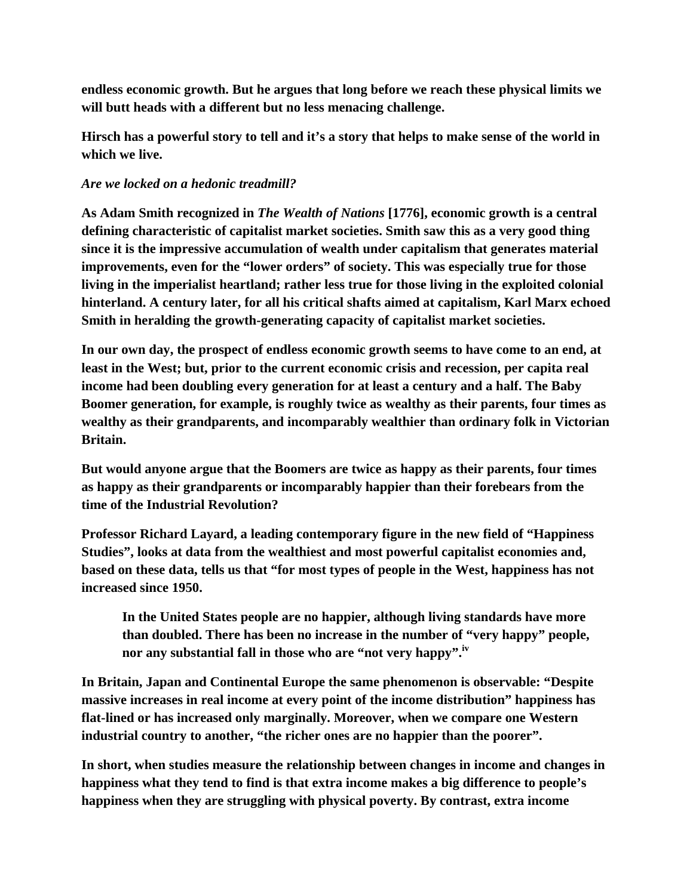**endless economic growth. But he argues that long before we reach these physical limits we will butt heads with a different but no less menacing challenge.** 

**Hirsch has a powerful story to tell and it's a story that helps to make sense of the world in which we live.** 

### *Are we locked on a hedonic treadmill?*

**As Adam Smith recognized in** *The Wealth of Nations* **[1776], economic growth is a central defining characteristic of capitalist market societies. Smith saw this as a very good thing since it is the impressive accumulation of wealth under capitalism that generates material improvements, even for the "lower orders" of society. This was especially true for those living in the imperialist heartland; rather less true for those living in the exploited colonial hinterland. A century later, for all his critical shafts aimed at capitalism, Karl Marx echoed Smith in heralding the growth-generating capacity of capitalist market societies.** 

**In our own day, the prospect of endless economic growth seems to have come to an end, at least in the West; but, prior to the current economic crisis and recession, per capita real income had been doubling every generation for at least a century and a half. The Baby Boomer generation, for example, is roughly twice as wealthy as their parents, four times as wealthy as their grandparents, and incomparably wealthier than ordinary folk in Victorian Britain.** 

**But would anyone argue that the Boomers are twice as happy as their parents, four times as happy as their grandparents or incomparably happier than their forebears from the time of the Industrial Revolution?** 

**Professor Richard Layard, a leading contemporary figure in the new field of "Happiness Studies", looks at data from the wealthiest and most powerful capitalist economies and, based on these data, tells us that "for most types of people in the West, happiness has not increased since 1950.** 

**In the United States people are no happier, although living standards have more than doubled. There has been no increase in the number of "very happy" people,**  nor any substantial fall in those who are "not very happy".<sup>iv</sup>

**In Britain, Japan and Continental Europe the same phenomenon is observable: "Despite massive increases in real income at every point of the income distribution" happiness has flat-lined or has increased only marginally. Moreover, when we compare one Western industrial country to another, "the richer ones are no happier than the poorer".** 

**In short, when studies measure the relationship between changes in income and changes in happiness what they tend to find is that extra income makes a big difference to people's happiness when they are struggling with physical poverty. By contrast, extra income**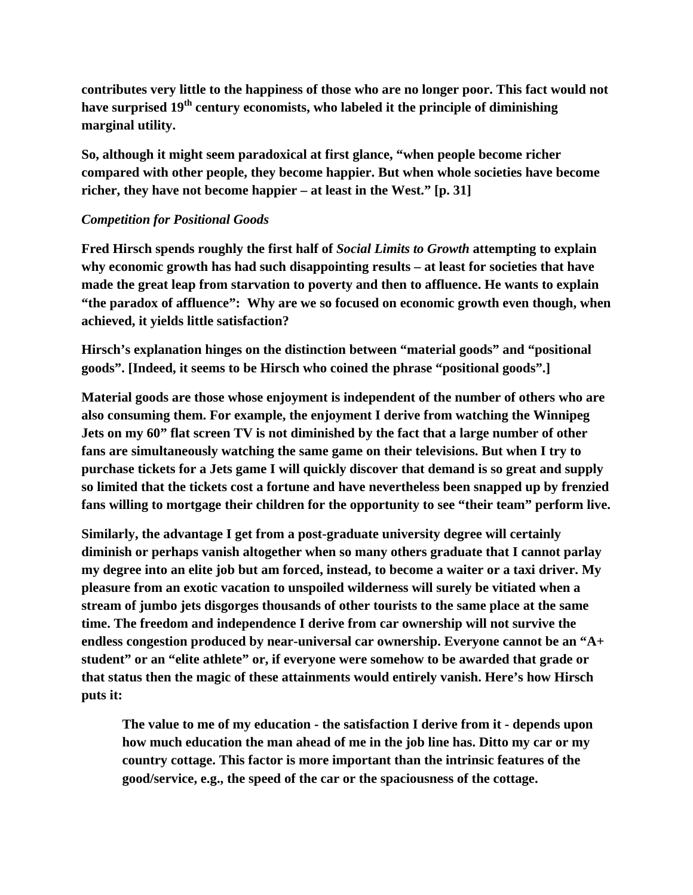**contributes very little to the happiness of those who are no longer poor. This fact would not have surprised 19th century economists, who labeled it the principle of diminishing marginal utility.** 

**So, although it might seem paradoxical at first glance, "when people become richer compared with other people, they become happier. But when whole societies have become richer, they have not become happier – at least in the West." [p. 31]** 

# *Competition for Positional Goods*

**Fred Hirsch spends roughly the first half of** *Social Limits to Growth* **attempting to explain why economic growth has had such disappointing results – at least for societies that have made the great leap from starvation to poverty and then to affluence. He wants to explain "the paradox of affluence": Why are we so focused on economic growth even though, when achieved, it yields little satisfaction?** 

**Hirsch's explanation hinges on the distinction between "material goods" and "positional goods". [Indeed, it seems to be Hirsch who coined the phrase "positional goods".]** 

**Material goods are those whose enjoyment is independent of the number of others who are also consuming them. For example, the enjoyment I derive from watching the Winnipeg Jets on my 60" flat screen TV is not diminished by the fact that a large number of other fans are simultaneously watching the same game on their televisions. But when I try to purchase tickets for a Jets game I will quickly discover that demand is so great and supply so limited that the tickets cost a fortune and have nevertheless been snapped up by frenzied fans willing to mortgage their children for the opportunity to see "their team" perform live.** 

**Similarly, the advantage I get from a post-graduate university degree will certainly diminish or perhaps vanish altogether when so many others graduate that I cannot parlay my degree into an elite job but am forced, instead, to become a waiter or a taxi driver. My pleasure from an exotic vacation to unspoiled wilderness will surely be vitiated when a stream of jumbo jets disgorges thousands of other tourists to the same place at the same time. The freedom and independence I derive from car ownership will not survive the endless congestion produced by near-universal car ownership. Everyone cannot be an "A+ student" or an "elite athlete" or, if everyone were somehow to be awarded that grade or that status then the magic of these attainments would entirely vanish. Here's how Hirsch puts it:** 

**The value to me of my education - the satisfaction I derive from it - depends upon how much education the man ahead of me in the job line has. Ditto my car or my country cottage. This factor is more important than the intrinsic features of the good/service, e.g., the speed of the car or the spaciousness of the cottage.**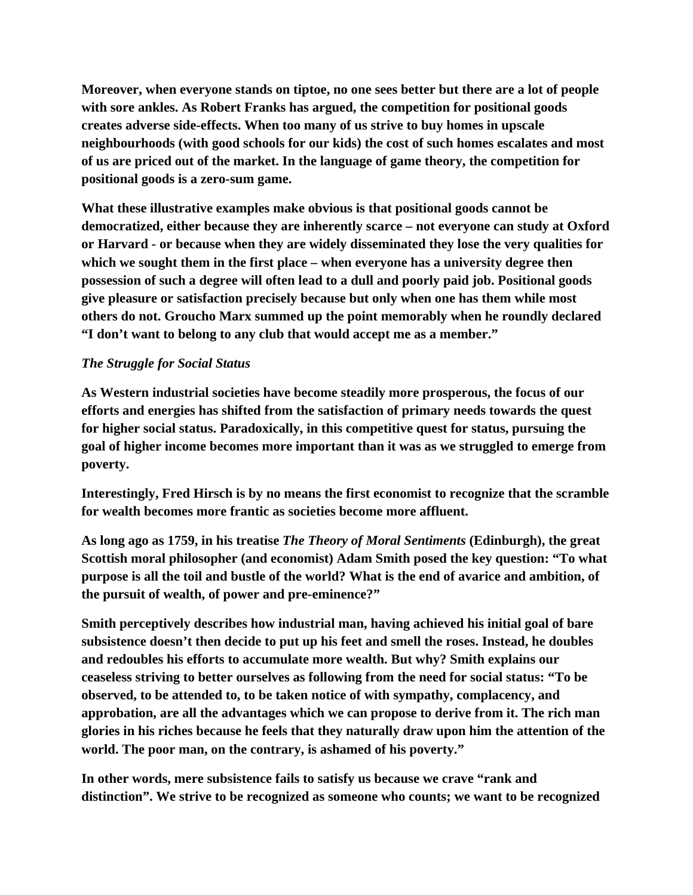**Moreover, when everyone stands on tiptoe, no one sees better but there are a lot of people with sore ankles. As Robert Franks has argued, the competition for positional goods creates adverse side-effects. When too many of us strive to buy homes in upscale neighbourhoods (with good schools for our kids) the cost of such homes escalates and most of us are priced out of the market. In the language of game theory, the competition for positional goods is a zero-sum game.** 

**What these illustrative examples make obvious is that positional goods cannot be democratized, either because they are inherently scarce – not everyone can study at Oxford or Harvard - or because when they are widely disseminated they lose the very qualities for which we sought them in the first place – when everyone has a university degree then possession of such a degree will often lead to a dull and poorly paid job. Positional goods give pleasure or satisfaction precisely because but only when one has them while most others do not. Groucho Marx summed up the point memorably when he roundly declared "I don't want to belong to any club that would accept me as a member."** 

# *The Struggle for Social Status*

**As Western industrial societies have become steadily more prosperous, the focus of our efforts and energies has shifted from the satisfaction of primary needs towards the quest for higher social status. Paradoxically, in this competitive quest for status, pursuing the goal of higher income becomes more important than it was as we struggled to emerge from poverty.** 

**Interestingly, Fred Hirsch is by no means the first economist to recognize that the scramble for wealth becomes more frantic as societies become more affluent.** 

**As long ago as 1759, in his treatise** *The Theory of Moral Sentiments* **(Edinburgh), the great Scottish moral philosopher (and economist) Adam Smith posed the key question: "To what purpose is all the toil and bustle of the world? What is the end of avarice and ambition, of the pursuit of wealth, of power and pre-eminence?"** 

**Smith perceptively describes how industrial man, having achieved his initial goal of bare subsistence doesn't then decide to put up his feet and smell the roses. Instead, he doubles and redoubles his efforts to accumulate more wealth. But why? Smith explains our ceaseless striving to better ourselves as following from the need for social status: "To be observed, to be attended to, to be taken notice of with sympathy, complacency, and approbation, are all the advantages which we can propose to derive from it. The rich man glories in his riches because he feels that they naturally draw upon him the attention of the world. The poor man, on the contrary, is ashamed of his poverty."** 

**In other words, mere subsistence fails to satisfy us because we crave "rank and distinction". We strive to be recognized as someone who counts; we want to be recognized**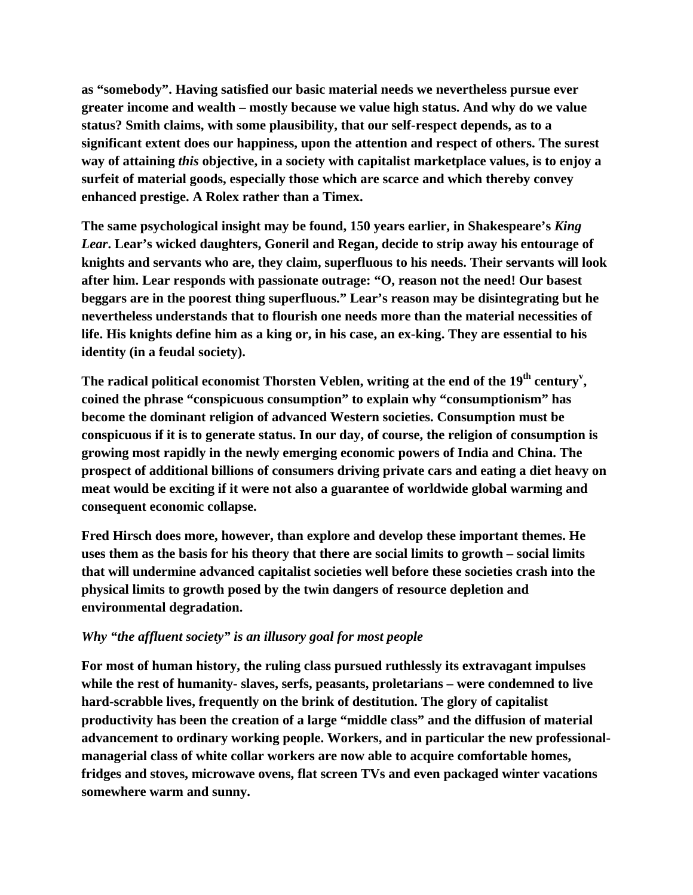**as "somebody". Having satisfied our basic material needs we nevertheless pursue ever greater income and wealth – mostly because we value high status. And why do we value status? Smith claims, with some plausibility, that our self-respect depends, as to a significant extent does our happiness, upon the attention and respect of others. The surest way of attaining** *this* **objective, in a society with capitalist marketplace values, is to enjoy a surfeit of material goods, especially those which are scarce and which thereby convey enhanced prestige. A Rolex rather than a Timex.** 

**The same psychological insight may be found, 150 years earlier, in Shakespeare's** *King Lear***. Lear's wicked daughters, Goneril and Regan, decide to strip away his entourage of knights and servants who are, they claim, superfluous to his needs. Their servants will look after him. Lear responds with passionate outrage: "O, reason not the need! Our basest beggars are in the poorest thing superfluous." Lear's reason may be disintegrating but he nevertheless understands that to flourish one needs more than the material necessities of life. His knights define him as a king or, in his case, an ex-king. They are essential to his identity (in a feudal society).** 

The radical political economist Thorsten Veblen, writing at the end of the 19<sup>th</sup> century<sup>v</sup>, **coined the phrase "conspicuous consumption" to explain why "consumptionism" has become the dominant religion of advanced Western societies. Consumption must be conspicuous if it is to generate status. In our day, of course, the religion of consumption is growing most rapidly in the newly emerging economic powers of India and China. The prospect of additional billions of consumers driving private cars and eating a diet heavy on meat would be exciting if it were not also a guarantee of worldwide global warming and consequent economic collapse.** 

**Fred Hirsch does more, however, than explore and develop these important themes. He uses them as the basis for his theory that there are social limits to growth – social limits that will undermine advanced capitalist societies well before these societies crash into the physical limits to growth posed by the twin dangers of resource depletion and environmental degradation.** 

# *Why "the affluent society" is an illusory goal for most people*

**For most of human history, the ruling class pursued ruthlessly its extravagant impulses while the rest of humanity- slaves, serfs, peasants, proletarians – were condemned to live hard-scrabble lives, frequently on the brink of destitution. The glory of capitalist productivity has been the creation of a large "middle class" and the diffusion of material advancement to ordinary working people. Workers, and in particular the new professionalmanagerial class of white collar workers are now able to acquire comfortable homes, fridges and stoves, microwave ovens, flat screen TVs and even packaged winter vacations somewhere warm and sunny.**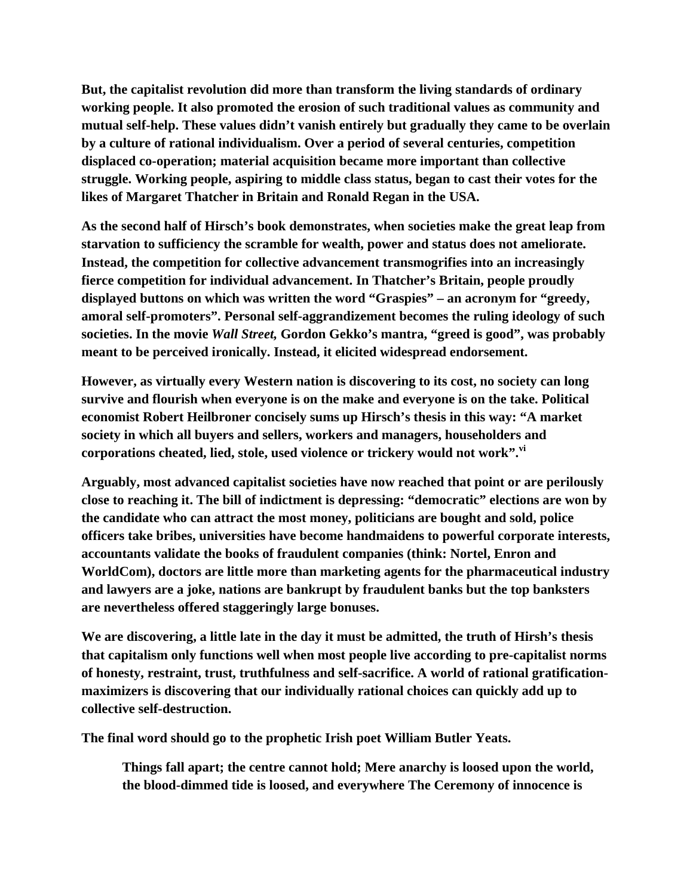**But, the capitalist revolution did more than transform the living standards of ordinary working people. It also promoted the erosion of such traditional values as community and mutual self-help. These values didn't vanish entirely but gradually they came to be overlain by a culture of rational individualism. Over a period of several centuries, competition displaced co-operation; material acquisition became more important than collective struggle. Working people, aspiring to middle class status, began to cast their votes for the likes of Margaret Thatcher in Britain and Ronald Regan in the USA.** 

**As the second half of Hirsch's book demonstrates, when societies make the great leap from starvation to sufficiency the scramble for wealth, power and status does not ameliorate. Instead, the competition for collective advancement transmogrifies into an increasingly fierce competition for individual advancement. In Thatcher's Britain, people proudly displayed buttons on which was written the word "Graspies" – an acronym for "greedy, amoral self-promoters". Personal self-aggrandizement becomes the ruling ideology of such societies. In the movie** *Wall Street,* **Gordon Gekko's mantra, "greed is good", was probably meant to be perceived ironically. Instead, it elicited widespread endorsement.** 

**However, as virtually every Western nation is discovering to its cost, no society can long survive and flourish when everyone is on the make and everyone is on the take. Political economist Robert Heilbroner concisely sums up Hirsch's thesis in this way: "A market society in which all buyers and sellers, workers and managers, householders and corporations cheated, lied, stole, used violence or trickery would not work".vi**

**Arguably, most advanced capitalist societies have now reached that point or are perilously close to reaching it. The bill of indictment is depressing: "democratic" elections are won by the candidate who can attract the most money, politicians are bought and sold, police officers take bribes, universities have become handmaidens to powerful corporate interests, accountants validate the books of fraudulent companies (think: Nortel, Enron and WorldCom), doctors are little more than marketing agents for the pharmaceutical industry and lawyers are a joke, nations are bankrupt by fraudulent banks but the top banksters are nevertheless offered staggeringly large bonuses.** 

**We are discovering, a little late in the day it must be admitted, the truth of Hirsh's thesis that capitalism only functions well when most people live according to pre-capitalist norms of honesty, restraint, trust, truthfulness and self-sacrifice. A world of rational gratificationmaximizers is discovering that our individually rational choices can quickly add up to collective self-destruction.** 

**The final word should go to the prophetic Irish poet William Butler Yeats.** 

**Things fall apart; the centre cannot hold; Mere anarchy is loosed upon the world, the blood-dimmed tide is loosed, and everywhere The Ceremony of innocence is**